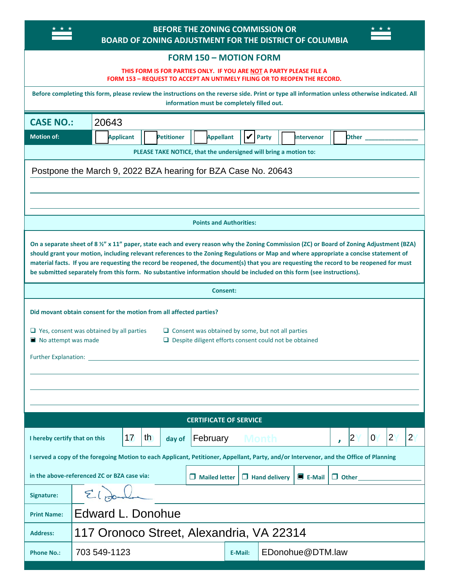| <b>BEFORE THE ZONING COMMISSION OR</b><br>BOARD OF ZONING ADJUSTMENT FOR THE DISTRICT OF COLUMBIA                                                                                                                                                                                                                                                                                                                                                                                                                                                        |                                                                                                                |  |  |
|----------------------------------------------------------------------------------------------------------------------------------------------------------------------------------------------------------------------------------------------------------------------------------------------------------------------------------------------------------------------------------------------------------------------------------------------------------------------------------------------------------------------------------------------------------|----------------------------------------------------------------------------------------------------------------|--|--|
| <b>FORM 150 - MOTION FORM</b>                                                                                                                                                                                                                                                                                                                                                                                                                                                                                                                            |                                                                                                                |  |  |
| THIS FORM IS FOR PARTIES ONLY. IF YOU ARE NOT A PARTY PLEASE FILE A<br>FORM 153 - REQUEST TO ACCEPT AN UNTIMELY FILING OR TO REOPEN THE RECORD.                                                                                                                                                                                                                                                                                                                                                                                                          |                                                                                                                |  |  |
| Before completing this form, please review the instructions on the reverse side. Print or type all information unless otherwise indicated. All<br>information must be completely filled out.                                                                                                                                                                                                                                                                                                                                                             |                                                                                                                |  |  |
| <b>CASE NO.:</b>                                                                                                                                                                                                                                                                                                                                                                                                                                                                                                                                         | 20643                                                                                                          |  |  |
| <b>Motion of:</b>                                                                                                                                                                                                                                                                                                                                                                                                                                                                                                                                        | ✔<br><b>Appellant</b><br><b>Applicant</b><br><b>Petitioner</b><br><b>Party</b><br><b>Intervenor</b><br>Other _ |  |  |
| PLEASE TAKE NOTICE, that the undersigned will bring a motion to:                                                                                                                                                                                                                                                                                                                                                                                                                                                                                         |                                                                                                                |  |  |
|                                                                                                                                                                                                                                                                                                                                                                                                                                                                                                                                                          | Postpone the March 9, 2022 BZA hearing for BZA Case No. 20643                                                  |  |  |
|                                                                                                                                                                                                                                                                                                                                                                                                                                                                                                                                                          |                                                                                                                |  |  |
|                                                                                                                                                                                                                                                                                                                                                                                                                                                                                                                                                          |                                                                                                                |  |  |
|                                                                                                                                                                                                                                                                                                                                                                                                                                                                                                                                                          | <b>Points and Authorities:</b>                                                                                 |  |  |
| On a separate sheet of 8 1/2" x 11" paper, state each and every reason why the Zoning Commission (ZC) or Board of Zoning Adjustment (BZA)<br>should grant your motion, including relevant references to the Zoning Regulations or Map and where appropriate a concise statement of<br>material facts. If you are requesting the record be reopened, the document(s) that you are requesting the record to be reopened for must<br>be submitted separately from this form. No substantive information should be included on this form (see instructions). |                                                                                                                |  |  |
| <b>Consent:</b>                                                                                                                                                                                                                                                                                                                                                                                                                                                                                                                                          |                                                                                                                |  |  |
| Did movant obtain consent for the motion from all affected parties?                                                                                                                                                                                                                                                                                                                                                                                                                                                                                      |                                                                                                                |  |  |
|                                                                                                                                                                                                                                                                                                                                                                                                                                                                                                                                                          |                                                                                                                |  |  |
| $\Box$ Yes, consent was obtained by all parties<br>$\Box$ Consent was obtained by some, but not all parties<br>No attempt was made<br>$\Box$ Despite diligent efforts consent could not be obtained                                                                                                                                                                                                                                                                                                                                                      |                                                                                                                |  |  |
| <b>Further Explanation:</b>                                                                                                                                                                                                                                                                                                                                                                                                                                                                                                                              |                                                                                                                |  |  |
|                                                                                                                                                                                                                                                                                                                                                                                                                                                                                                                                                          |                                                                                                                |  |  |
|                                                                                                                                                                                                                                                                                                                                                                                                                                                                                                                                                          |                                                                                                                |  |  |
|                                                                                                                                                                                                                                                                                                                                                                                                                                                                                                                                                          |                                                                                                                |  |  |
| <b>CERTIFICATE OF SERVICE</b>                                                                                                                                                                                                                                                                                                                                                                                                                                                                                                                            |                                                                                                                |  |  |
| I hereby certify that on this                                                                                                                                                                                                                                                                                                                                                                                                                                                                                                                            | $2^{\prime}$<br>2 <sub>1</sub><br>17<br>th<br>$\overline{0}$<br>$ 2\rangle$<br>February<br>Month<br>day of     |  |  |
| I served a copy of the foregoing Motion to each Applicant, Petitioner, Appellant, Party, and/or Intervenor, and the Office of Planning                                                                                                                                                                                                                                                                                                                                                                                                                   |                                                                                                                |  |  |
| in the above-referenced ZC or BZA case via:<br>$\blacksquare$ E-Mail<br>$\Box$ Mailed letter<br>$\Box$ Hand delivery<br>$\Box$ Other                                                                                                                                                                                                                                                                                                                                                                                                                     |                                                                                                                |  |  |
| Signature:                                                                                                                                                                                                                                                                                                                                                                                                                                                                                                                                               | $2120 - 30$                                                                                                    |  |  |
| <b>Print Name:</b>                                                                                                                                                                                                                                                                                                                                                                                                                                                                                                                                       | Edward L. Donohue                                                                                              |  |  |
| <b>Address:</b>                                                                                                                                                                                                                                                                                                                                                                                                                                                                                                                                          | 117 Oronoco Street, Alexandria, VA 22314                                                                       |  |  |
| <b>Phone No.:</b>                                                                                                                                                                                                                                                                                                                                                                                                                                                                                                                                        | EDonohue@DTM.law<br>703 549-1123<br>E-Mail:                                                                    |  |  |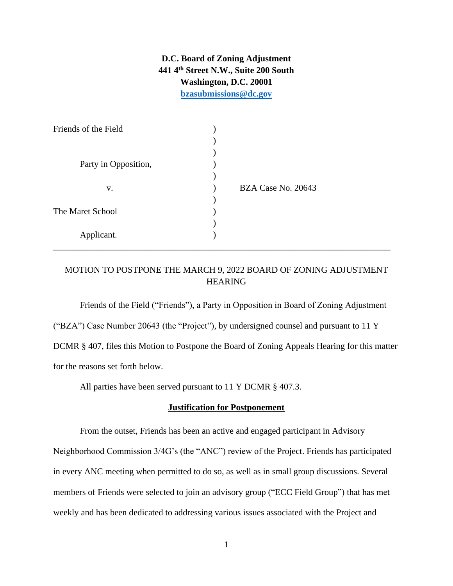**D.C. Board of Zoning Adjustment 441 4th Street N.W., Suite 200 South Washington, D.C. 20001 [bzasubmissions@dc.gov](mailto:bzasubmissions@dc.gov)**

| Friends of the Field |                    |
|----------------------|--------------------|
|                      |                    |
|                      |                    |
| Party in Opposition, |                    |
|                      |                    |
| V.                   | BZA Case No. 20643 |
|                      |                    |
| The Maret School     |                    |
|                      |                    |
| Applicant.           |                    |
|                      |                    |

# MOTION TO POSTPONE THE MARCH 9, 2022 BOARD OF ZONING ADJUSTMENT HEARING

Friends of the Field ("Friends"), a Party in Opposition in Board of Zoning Adjustment

("BZA") Case Number 20643 (the "Project"), by undersigned counsel and pursuant to 11 Y

DCMR § 407, files this Motion to Postpone the Board of Zoning Appeals Hearing for this matter for the reasons set forth below.

All parties have been served pursuant to 11 Y DCMR § 407.3.

## **Justification for Postponement**

From the outset, Friends has been an active and engaged participant in Advisory Neighborhood Commission 3/4G's (the "ANC") review of the Project. Friends has participated in every ANC meeting when permitted to do so, as well as in small group discussions. Several members of Friends were selected to join an advisory group ("ECC Field Group") that has met weekly and has been dedicated to addressing various issues associated with the Project and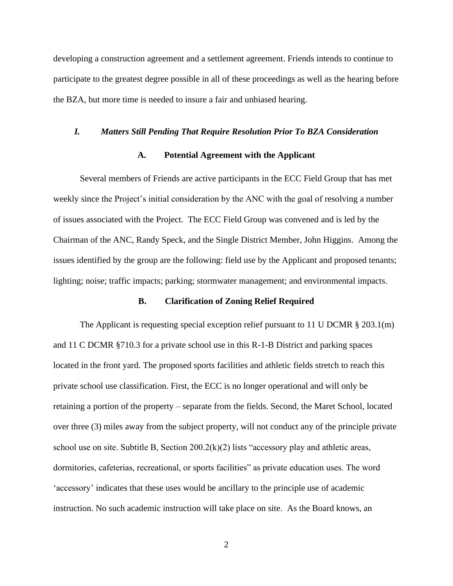developing a construction agreement and a settlement agreement. Friends intends to continue to participate to the greatest degree possible in all of these proceedings as well as the hearing before the BZA, but more time is needed to insure a fair and unbiased hearing.

# *I. Matters Still Pending That Require Resolution Prior To BZA Consideration*

## **A. Potential Agreement with the Applicant**

Several members of Friends are active participants in the ECC Field Group that has met weekly since the Project's initial consideration by the ANC with the goal of resolving a number of issues associated with the Project. The ECC Field Group was convened and is led by the Chairman of the ANC, Randy Speck, and the Single District Member, John Higgins. Among the issues identified by the group are the following: field use by the Applicant and proposed tenants; lighting; noise; traffic impacts; parking; stormwater management; and environmental impacts.

## **B. Clarification of Zoning Relief Required**

The Applicant is requesting special exception relief pursuant to 11 U DCMR  $\S 203.1(m)$ and 11 C DCMR §710.3 for a private school use in this R-1-B District and parking spaces located in the front yard. The proposed sports facilities and athletic fields stretch to reach this private school use classification. First, the ECC is no longer operational and will only be retaining a portion of the property – separate from the fields. Second, the Maret School, located over three (3) miles away from the subject property, will not conduct any of the principle private school use on site. Subtitle B, Section 200.2(k)(2) lists "accessory play and athletic areas, dormitories, cafeterias, recreational, or sports facilities" as private education uses. The word 'accessory' indicates that these uses would be ancillary to the principle use of academic instruction. No such academic instruction will take place on site. As the Board knows, an

2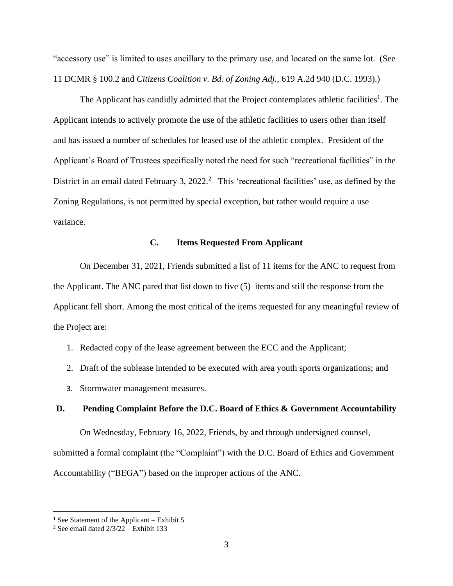"accessory use" is limited to uses ancillary to the primary use, and located on the same lot. (See 11 DCMR § 100.2 and *Citizens Coalition v. Bd. of Zoning Adj.*, 619 A.2d 940 (D.C. 1993).)

The Applicant has candidly admitted that the Project contemplates athletic facilities<sup>1</sup>. The Applicant intends to actively promote the use of the athletic facilities to users other than itself and has issued a number of schedules for leased use of the athletic complex. President of the Applicant's Board of Trustees specifically noted the need for such "recreational facilities" in the District in an email dated February 3, 2022.<sup>2</sup> This 'recreational facilities' use, as defined by the Zoning Regulations, is not permitted by special exception, but rather would require a use variance.

# **C. Items Requested From Applicant**

On December 31, 2021, Friends submitted a list of 11 items for the ANC to request from the Applicant. The ANC pared that list down to five (5) items and still the response from the Applicant fell short. Among the most critical of the items requested for any meaningful review of the Project are:

- 1. Redacted copy of the lease agreement between the ECC and the Applicant;
- 2. Draft of the sublease intended to be executed with area youth sports organizations; and
- 3. Stormwater management measures.

## **D. Pending Complaint Before the D.C. Board of Ethics & Government Accountability**

On Wednesday, February 16, 2022, Friends, by and through undersigned counsel, submitted a formal complaint (the "Complaint") with the D.C. Board of Ethics and Government Accountability ("BEGA") based on the improper actions of the ANC.

<sup>&</sup>lt;sup>1</sup> See Statement of the Applicant – Exhibit 5

<sup>&</sup>lt;sup>2</sup> See email dated  $2/3/22 -$  Exhibit 133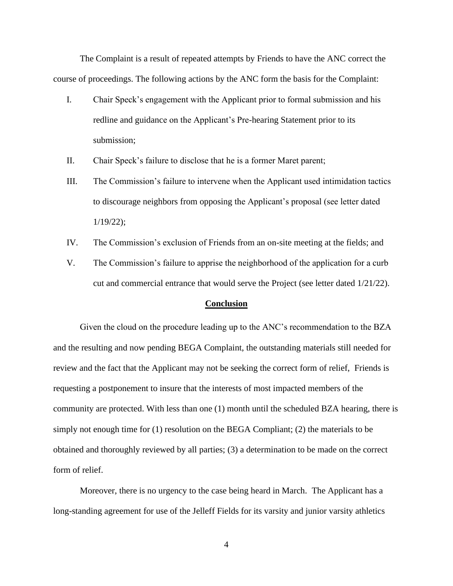The Complaint is a result of repeated attempts by Friends to have the ANC correct the course of proceedings. The following actions by the ANC form the basis for the Complaint:

- I. Chair Speck's engagement with the Applicant prior to formal submission and his redline and guidance on the Applicant's Pre-hearing Statement prior to its submission;
- II. Chair Speck's failure to disclose that he is a former Maret parent;
- III. The Commission's failure to intervene when the Applicant used intimidation tactics to discourage neighbors from opposing the Applicant's proposal (see letter dated 1/19/22);
- IV. The Commission's exclusion of Friends from an on-site meeting at the fields; and
- V. The Commission's failure to apprise the neighborhood of the application for a curb cut and commercial entrance that would serve the Project (see letter dated 1/21/22).

#### **Conclusion**

Given the cloud on the procedure leading up to the ANC's recommendation to the BZA and the resulting and now pending BEGA Complaint, the outstanding materials still needed for review and the fact that the Applicant may not be seeking the correct form of relief, Friends is requesting a postponement to insure that the interests of most impacted members of the community are protected. With less than one (1) month until the scheduled BZA hearing, there is simply not enough time for  $(1)$  resolution on the BEGA Compliant;  $(2)$  the materials to be obtained and thoroughly reviewed by all parties; (3) a determination to be made on the correct form of relief.

Moreover, there is no urgency to the case being heard in March. The Applicant has a long-standing agreement for use of the Jelleff Fields for its varsity and junior varsity athletics

4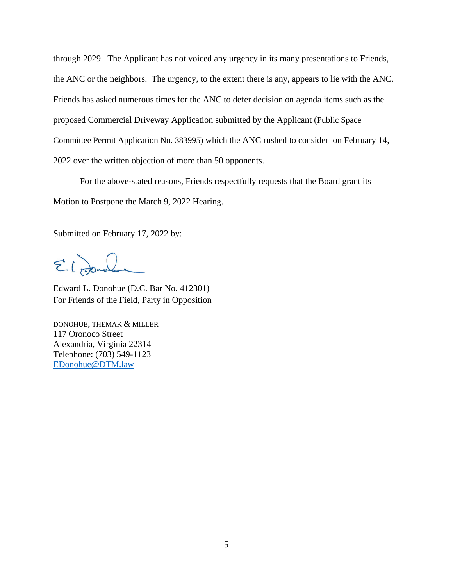through 2029. The Applicant has not voiced any urgency in its many presentations to Friends, the ANC or the neighbors. The urgency, to the extent there is any, appears to lie with the ANC. Friends has asked numerous times for the ANC to defer decision on agenda items such as the proposed Commercial Driveway Application submitted by the Applicant (Public Space Committee Permit Application No. 383995) which the ANC rushed to consider on February 14, 2022 over the written objection of more than 50 opponents.

For the above-stated reasons, Friends respectfully requests that the Board grant its Motion to Postpone the March 9, 2022 Hearing.

Submitted on February 17, 2022 by:

 $212$ 

Edward L. Donohue (D.C. Bar No. 412301) For Friends of the Field, Party in Opposition

DONOHUE, THEMAK & MILLER 117 Oronoco Street Alexandria, Virginia 22314 Telephone: (703) 549-1123 [EDonohue@DTM.law](mailto:EDonohue@DTM.law)